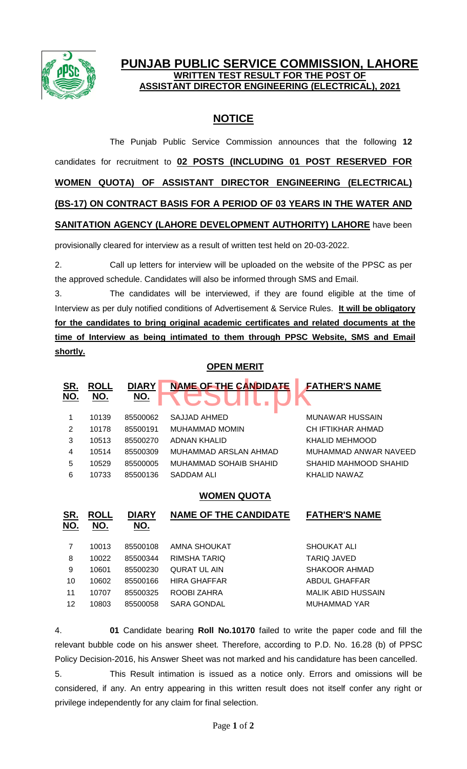

## **PUNJAB PUBLIC SERVICE COMMISSION, LAHORE WRITTEN TEST RESULT FOR THE POST OF ASSISTANT DIRECTOR ENGINEERING (ELECTRICAL), 2021**

## **NOTICE**

The Punjab Public Service Commission announces that the following **12** candidates for recruitment to **02 POSTS (INCLUDING 01 POST RESERVED FOR WOMEN QUOTA) OF ASSISTANT DIRECTOR ENGINEERING (ELECTRICAL) (BS-17) ON CONTRACT BASIS FOR A PERIOD OF 03 YEARS IN THE WATER AND SANITATION AGENCY (LAHORE DEVELOPMENT AUTHORITY) LAHORE** have been

provisionally cleared for interview as a result of written test held on 20-03-2022.

2. Call up letters for interview will be uploaded on the website of the PPSC as per the approved schedule. Candidates will also be informed through SMS and Email.

3. The candidates will be interviewed, if they are found eligible at the time of Interview as per duly notified conditions of Advertisement & Service Rules. **It will be obligatory for the candidates to bring original academic certificates and related documents at the time of Interview as being intimated to them through PPSC Website, SMS and Email shortly.**

## **OPEN MERIT**

| <u>SR.</u><br><u>NO.</u> | <b>ROLL</b><br><u>NO.</u> | <b>DIARY</b><br><u>NO.</u> | <b>NAME OF THE CANDIDATE</b> | <b>FATHER'S NAME</b>   |
|--------------------------|---------------------------|----------------------------|------------------------------|------------------------|
| 1                        | 10139                     | 85500062                   | SAJJAD AHMED                 | <b>MUNAWAR HUSSAIN</b> |
| 2                        | 10178                     | 85500191                   | <b>MUHAMMAD MOMIN</b>        | CH IFTIKHAR AHMAD      |
| 3                        | 10513                     | 85500270                   | <b>ADNAN KHALID</b>          | KHALID MEHMOOD         |
| $\overline{4}$           | 10514                     | 85500309                   | MUHAMMAD ARSLAN AHMAD        | MUHAMMAD ANWAR NAVEED  |
| 5                        | 10529                     | 85500005                   | MUHAMMAD SOHAIB SHAHID       | SHAHID MAHMOOD SHAHID  |
| 6                        | 10733                     | 85500136                   | SADDAM ALI                   | KHALID NAWAZ           |
|                          |                           |                            | <b>WOMEN QUOTA</b>           |                        |
| <u>SR.</u><br>NO.        | <u>ROLL</u><br>NO.        | <b>DIARY</b><br><u>NO.</u> | <b>NAME OF THE CANDIDATE</b> | <b>FATHER'S NAME</b>   |
| 7                        | 10013                     | 85500108                   | AMNA SHOUKAT                 | <b>SHOUKAT ALI</b>     |
| 8                        | 10022                     | 85500344                   | RIMSHA TARIO                 | <b>TARIQ JAVED</b>     |
|                          |                           |                            |                              |                        |
| 9                        | 10601                     | 85500230                   | <b>QURAT UL AIN</b>          | SHAKOOR AHMAD          |
| 10                       | 10602                     | 85500166                   | <b>HIRA GHAFFAR</b>          | <b>ABDUL GHAFFAR</b>   |
| 11                       | 10707                     | 85500325                   | ROOBI ZAHRA                  | MALIK ABID HUSSAIN     |
| 12                       | 10803                     | 85500058                   | <b>SARA GONDAL</b>           | <b>MUHAMMAD YAR</b>    |

4. **01** Candidate bearing **Roll No.10170** failed to write the paper code and fill the relevant bubble code on his answer sheet. Therefore, according to P.D. No. 16.28 (b) of PPSC Policy Decision-2016, his Answer Sheet was not marked and his candidature has been cancelled.

5. This Result intimation is issued as a notice only. Errors and omissions will be considered, if any. An entry appearing in this written result does not itself confer any right or privilege independently for any claim for final selection.